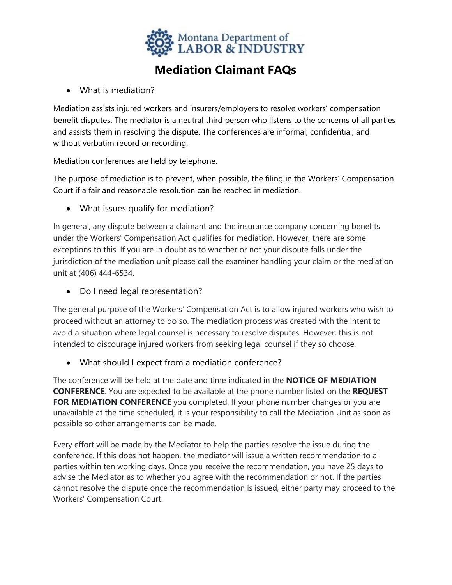

## **Mediation Claimant FAQs**

• What is mediation?

Mediation assists injured workers and insurers/employers to resolve workers' compensation benefit disputes. The mediator is a neutral third person who listens to the concerns of all parties and assists them in resolving the dispute. The conferences are informal; confidential; and without verbatim record or recording.

Mediation conferences are held by telephone.

The purpose of mediation is to prevent, when possible, the filing in the Workers' Compensation Court if a fair and reasonable resolution can be reached in mediation.

• What issues qualify for mediation?

In general, any dispute between a claimant and the insurance company concerning benefits under the Workers' Compensation Act qualifies for mediation. However, there are some exceptions to this. If you are in doubt as to whether or not your dispute falls under the jurisdiction of the mediation unit please call the examiner handling your claim or the mediation unit at (406) 444-6534.

• Do I need legal representation?

The general purpose of the Workers' Compensation Act is to allow injured workers who wish to proceed without an attorney to do so. The mediation process was created with the intent to avoid a situation where legal counsel is necessary to resolve disputes. However, this is not intended to discourage injured workers from seeking legal counsel if they so choose.

• What should I expect from a mediation conference?

The conference will be held at the date and time indicated in the **NOTICE OF MEDIATION CONFERENCE**. You are expected to be available at the phone number listed on the **REQUEST FOR MEDIATION CONFERENCE** you completed. If your phone number changes or you are unavailable at the time scheduled, it is your responsibility to call the Mediation Unit as soon as possible so other arrangements can be made.

Every effort will be made by the Mediator to help the parties resolve the issue during the conference. If this does not happen, the mediator will issue a written recommendation to all parties within ten working days. Once you receive the recommendation, you have 25 days to advise the Mediator as to whether you agree with the recommendation or not. If the parties cannot resolve the dispute once the recommendation is issued, either party may proceed to the Workers' Compensation Court.